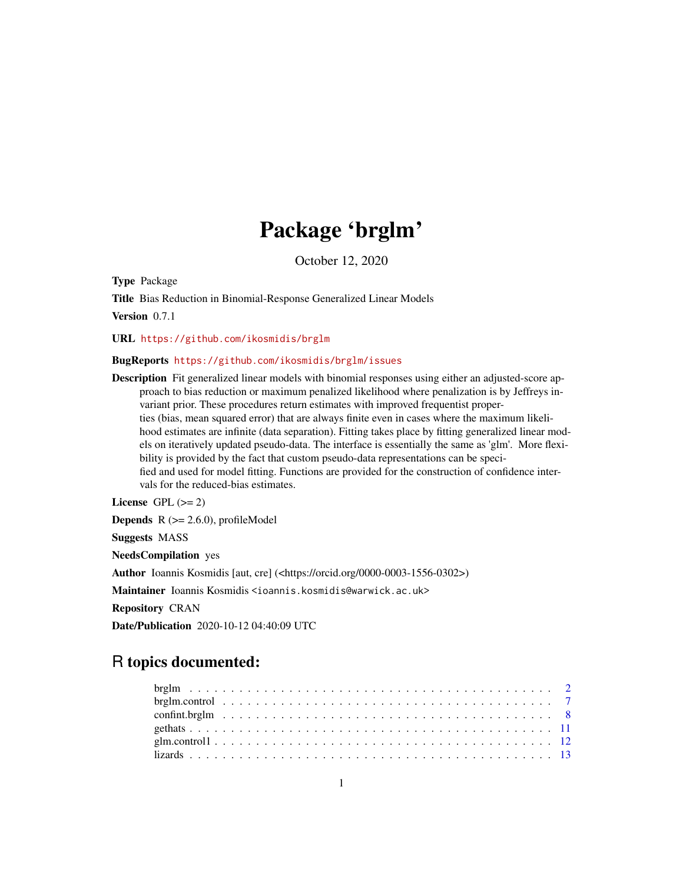# Package 'brglm'

October 12, 2020

<span id="page-0-0"></span>Type Package

Title Bias Reduction in Binomial-Response Generalized Linear Models Version 0.7.1

URL <https://github.com/ikosmidis/brglm>

#### BugReports <https://github.com/ikosmidis/brglm/issues>

Description Fit generalized linear models with binomial responses using either an adjusted-score approach to bias reduction or maximum penalized likelihood where penalization is by Jeffreys invariant prior. These procedures return estimates with improved frequentist properties (bias, mean squared error) that are always finite even in cases where the maximum likelihood estimates are infinite (data separation). Fitting takes place by fitting generalized linear models on iteratively updated pseudo-data. The interface is essentially the same as 'glm'. More flexibility is provided by the fact that custom pseudo-data representations can be specified and used for model fitting. Functions are provided for the construction of confidence intervals for the reduced-bias estimates.

License GPL  $(>= 2)$ **Depends**  $R$  ( $>= 2.6.0$ ), profileModel Suggests MASS NeedsCompilation yes Author Ioannis Kosmidis [aut, cre] (<https://orcid.org/0000-0003-1556-0302>) Maintainer Ioannis Kosmidis <ioannis.kosmidis@warwick.ac.uk> Repository CRAN

Date/Publication 2020-10-12 04:40:09 UTC

# R topics documented: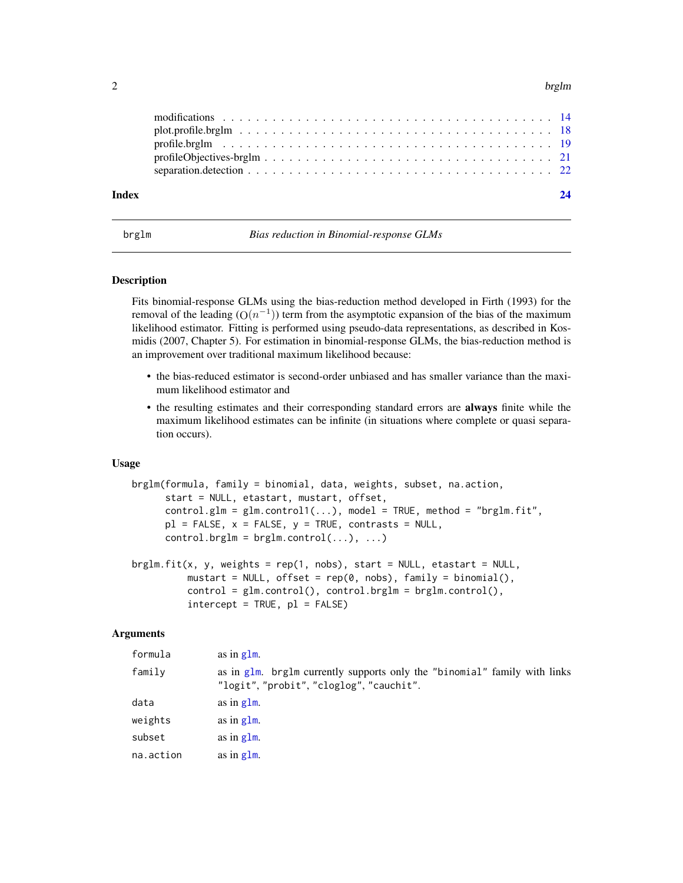#### <span id="page-1-0"></span> $2$  brglm

<span id="page-1-1"></span>brglm *Bias reduction in Binomial-response GLMs*

#### <span id="page-1-2"></span>Description

Fits binomial-response GLMs using the bias-reduction method developed in Firth (1993) for the removal of the leading  $(O(n^{-1}))$  term from the asymptotic expansion of the bias of the maximum likelihood estimator. Fitting is performed using pseudo-data representations, as described in Kosmidis (2007, Chapter 5). For estimation in binomial-response GLMs, the bias-reduction method is an improvement over traditional maximum likelihood because:

- the bias-reduced estimator is second-order unbiased and has smaller variance than the maximum likelihood estimator and
- the resulting estimates and their corresponding standard errors are always finite while the maximum likelihood estimates can be infinite (in situations where complete or quasi separation occurs).

#### Usage

```
brglm(formula, family = binomial, data, weights, subset, na.action,
     start = NULL, etastart, mustart, offset,
     control.glm = glm.contrib(...), model = TRUE, method = "brglm.fit".pl = FALSE, x = FALSE, y = TRUE, contrasts = NULL,control.brglm = brglm.contrib(...), ...
```

```
brglm.fit(x, y, weights = rep(1, nobs), start = NULL, etastart = NULL,
         mustart = NULL, offset = rep(0, nobs), family = binomial(),
         control = glm.contrib(), control.brglm = brglm.contrib(),
         intercept = TRUE, p1 = FALSE)
```
#### Arguments

| formula   | as in $g1m$ .                                                                                                         |
|-----------|-----------------------------------------------------------------------------------------------------------------------|
| family    | as in glm. brglm currently supports only the "binomial" family with links<br>"logit", "probit", "cloglog", "cauchit". |
| data      | as in $g \, \text{Im}$ .                                                                                              |
| weights   | as in $g \, \text{Im}$ .                                                                                              |
| subset    | as in $g \, \text{Im}$ .                                                                                              |
| na.action | as in $g \, \text{Im}$ .                                                                                              |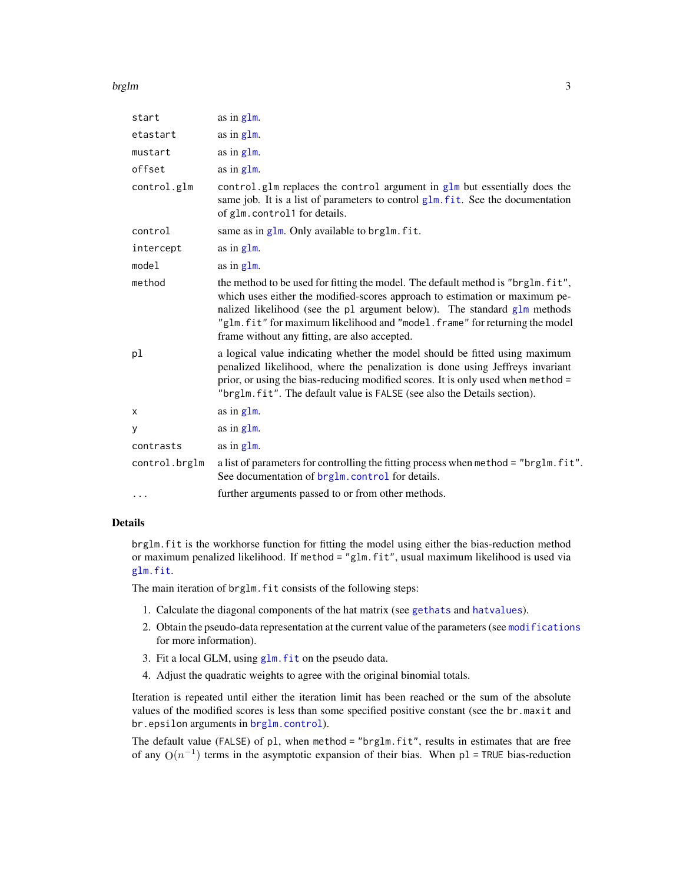#### <span id="page-2-0"></span>brglm 3

| start         | as in $g1m$ .                                                                                                                                                                                                                                                                                                                                                              |
|---------------|----------------------------------------------------------------------------------------------------------------------------------------------------------------------------------------------------------------------------------------------------------------------------------------------------------------------------------------------------------------------------|
| etastart      | as in $g1m$ .                                                                                                                                                                                                                                                                                                                                                              |
| mustart       | as in $g1m$ .                                                                                                                                                                                                                                                                                                                                                              |
| offset        | as in glm.                                                                                                                                                                                                                                                                                                                                                                 |
| control.glm   | control.glm replaces the control argument in $g\ln b$ ut essentially does the<br>same job. It is a list of parameters to control glm. fit. See the documentation<br>of glm. control1 for details.                                                                                                                                                                          |
| control       | same as in $g1m$ . Only available to brg1m. fit.                                                                                                                                                                                                                                                                                                                           |
| intercept     | as in $g1m$ .                                                                                                                                                                                                                                                                                                                                                              |
| model         | as in $g1m$ .                                                                                                                                                                                                                                                                                                                                                              |
| method        | the method to be used for fitting the model. The default method is "brglm. fit",<br>which uses either the modified-scores approach to estimation or maximum pe-<br>nalized likelihood (see the p1 argument below). The standard g1m methods<br>"glm.fit" for maximum likelihood and "model.frame" for returning the model<br>frame without any fitting, are also accepted. |
| pl            | a logical value indicating whether the model should be fitted using maximum<br>penalized likelihood, where the penalization is done using Jeffreys invariant<br>prior, or using the bias-reducing modified scores. It is only used when method =<br>"brglm.fit". The default value is FALSE (see also the Details section).                                                |
| X             | as in glm.                                                                                                                                                                                                                                                                                                                                                                 |
| У             | as in $g1m$ .                                                                                                                                                                                                                                                                                                                                                              |
| contrasts     | as in $g1m$ .                                                                                                                                                                                                                                                                                                                                                              |
| control.brglm | a list of parameters for controlling the fitting process when method = "brglm.fit".<br>See documentation of brg1m. control for details.                                                                                                                                                                                                                                    |
| $\cdots$      | further arguments passed to or from other methods.                                                                                                                                                                                                                                                                                                                         |

# Details

brglm.fit is the workhorse function for fitting the model using either the bias-reduction method or maximum penalized likelihood. If method = "glm.fit", usual maximum likelihood is used via [glm.fit](#page-0-0).

The main iteration of brglm. fit consists of the following steps:

- 1. Calculate the diagonal components of the hat matrix (see [gethats](#page-10-1) and [hatvalues](#page-0-0)).
- 2. Obtain the pseudo-data representation at the current value of the parameters (see [modifications](#page-13-1) for more information).
- 3. Fit a local GLM, using [glm.fit](#page-0-0) on the pseudo data.
- 4. Adjust the quadratic weights to agree with the original binomial totals.

Iteration is repeated until either the iteration limit has been reached or the sum of the absolute values of the modified scores is less than some specified positive constant (see the br.maxit and br.epsilon arguments in [brglm.control](#page-6-1)).

The default value (FALSE) of pl, when method = "brglm.fit", results in estimates that are free of any  $O(n^{-1})$  terms in the asymptotic expansion of their bias. When p1 = TRUE bias-reduction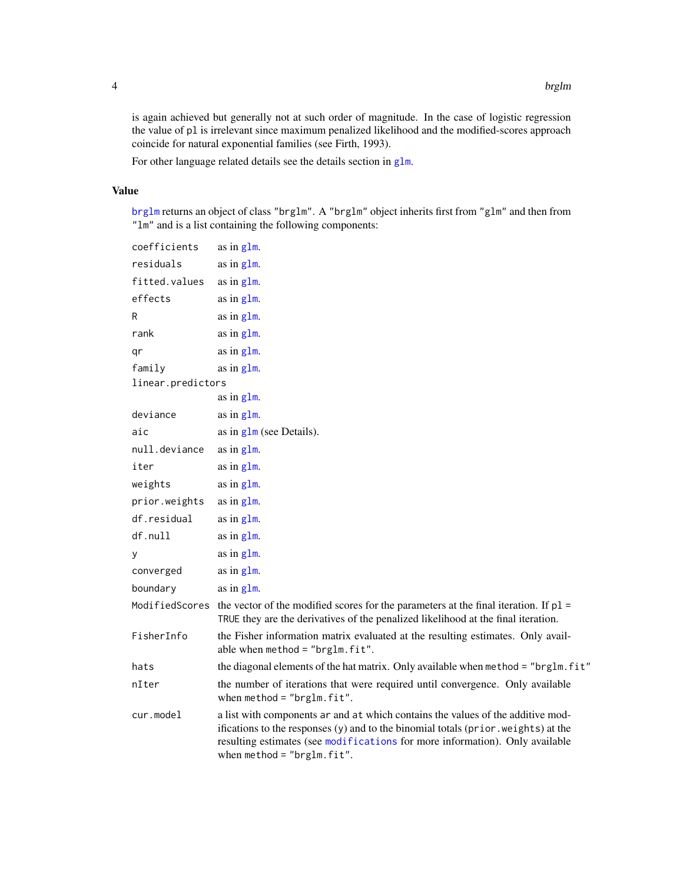<span id="page-3-0"></span>is again achieved but generally not at such order of magnitude. In the case of logistic regression the value of pl is irrelevant since maximum penalized likelihood and the modified-scores approach coincide for natural exponential families (see Firth, 1993).

For other language related details see the details section in [glm](#page-0-0).

#### Value

[brglm](#page-1-1) returns an object of class "brglm". A "brglm" object inherits first from "glm" and then from "lm" and is a list containing the following components:

```
coefficients as in glm.
glm.
glm.
effects as in glm.
glm.
glm.
qr as in g1m.
glm.
linear.predictors
             as in glm.
deviance glm}.aic glm} \text{ (see Details)}.glm.
glm.
weights glm}.glm.
glm.
df. null as in g1m.
y as in glm.
glm.
boundary glm}.Modified Scores the vector of the modified scores for the parameters at the final iteration. If p1 =TRUE they are the derivatives of the penalized likelihood at the final iteration.
FisherInfo the Fisher information matrix evaluated at the resulting estimates. Only avail-
             able when method = "brglm.fit".
hats the diagonal elements of the hat matrix. Only available when method = "brglm.fit"
nIter the number of iterations that were required until convergence. Only available
             when method = "brglm.fit".
cur.model a list with components ar and at which contains the values of the additive mod-
             ifications to the responses (y) and to the binomial totals (prior.weights) at the
             resulting estimates (see modifications for more information). Only available
             when method = "brglm.fit".
```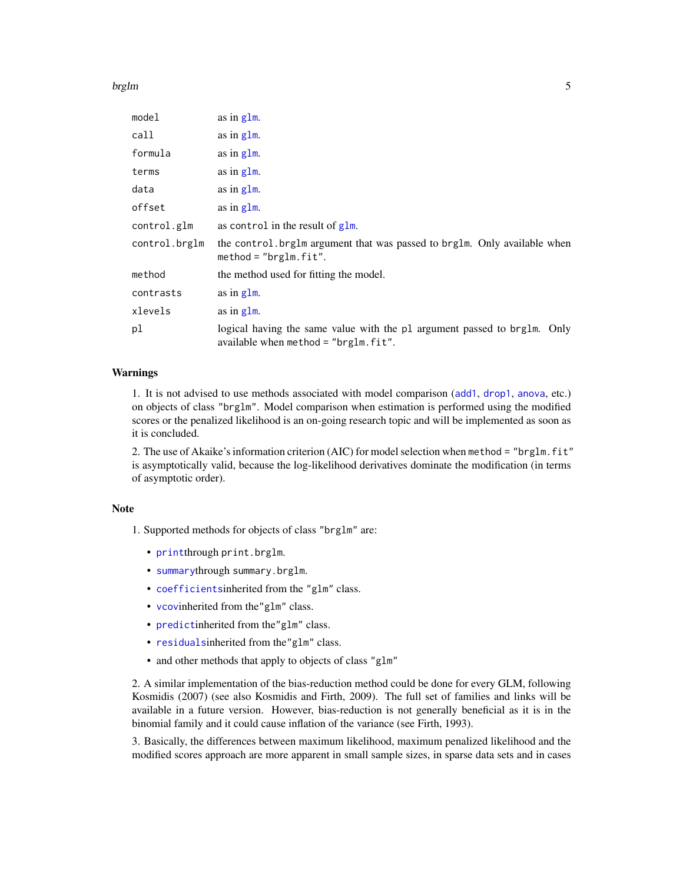#### <span id="page-4-0"></span>brglm 5

| model         | as in glm.                                                                                                              |
|---------------|-------------------------------------------------------------------------------------------------------------------------|
| call          | as in $g1m$ .                                                                                                           |
| formula       | as in $g1m$ .                                                                                                           |
| terms         | as in $g1m$ .                                                                                                           |
| data          | as in $g1m$ .                                                                                                           |
| offset        | as in $g1m$ .                                                                                                           |
| control.glm   | as control in the result of $g1m$ .                                                                                     |
| control.brglm | the control. brglm argument that was passed to brglm. Only available when<br>$method = "brglm.fit".$                    |
| method        | the method used for fitting the model.                                                                                  |
| contrasts     | as in glm.                                                                                                              |
| xlevels       | as in $g1m$ .                                                                                                           |
| рl            | logical having the same value with the pl argument passed to brglm.<br>Only<br>available when method = " $brglm.fit$ ". |

# Warnings

1. It is not advised to use methods associated with model comparison ([add1](#page-0-0), [drop1](#page-0-0), [anova](#page-0-0), etc.) on objects of class "brglm". Model comparison when estimation is performed using the modified scores or the penalized likelihood is an on-going research topic and will be implemented as soon as it is concluded.

2. The use of Akaike's information criterion (AIC) for model selection when method = "brglm.fit" is asymptotically valid, because the log-likelihood derivatives dominate the modification (in terms of asymptotic order).

#### Note

1. Supported methods for objects of class "brglm" are:

- [print](#page-0-0)through print.brglm.
- [summary](#page-0-0)through summary.brglm.
- [coefficients](#page-0-0)inherited from the "glm" class.
- [vcov](#page-0-0)inherited from the"glm" class.
- [predict](#page-0-0)inherited from the"glm" class.
- [residuals](#page-0-0)inherited from the"glm" class.
- and other methods that apply to objects of class "glm"

2. A similar implementation of the bias-reduction method could be done for every GLM, following Kosmidis (2007) (see also Kosmidis and Firth, 2009). The full set of families and links will be available in a future version. However, bias-reduction is not generally beneficial as it is in the binomial family and it could cause inflation of the variance (see Firth, 1993).

3. Basically, the differences between maximum likelihood, maximum penalized likelihood and the modified scores approach are more apparent in small sample sizes, in sparse data sets and in cases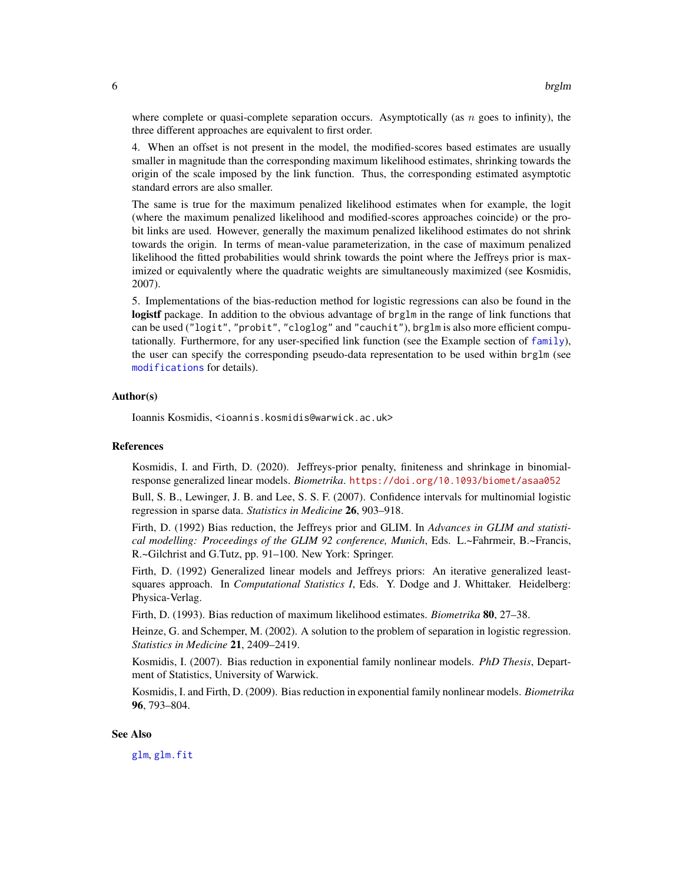<span id="page-5-0"></span>where complete or quasi-complete separation occurs. Asymptotically (as  $n$  goes to infinity), the three different approaches are equivalent to first order.

4. When an offset is not present in the model, the modified-scores based estimates are usually smaller in magnitude than the corresponding maximum likelihood estimates, shrinking towards the origin of the scale imposed by the link function. Thus, the corresponding estimated asymptotic standard errors are also smaller.

The same is true for the maximum penalized likelihood estimates when for example, the logit (where the maximum penalized likelihood and modified-scores approaches coincide) or the probit links are used. However, generally the maximum penalized likelihood estimates do not shrink towards the origin. In terms of mean-value parameterization, in the case of maximum penalized likelihood the fitted probabilities would shrink towards the point where the Jeffreys prior is maximized or equivalently where the quadratic weights are simultaneously maximized (see Kosmidis, 2007).

5. Implementations of the bias-reduction method for logistic regressions can also be found in the logistf package. In addition to the obvious advantage of brg1m in the range of link functions that can be used ("logit", "probit", "cloglog" and "cauchit"), brglm is also more efficient computationally. Furthermore, for any user-specified link function (see the Example section of  $fami1y$ ), the user can specify the corresponding pseudo-data representation to be used within brglm (see [modifications](#page-13-1) for details).

#### Author(s)

Ioannis Kosmidis, <ioannis.kosmidis@warwick.ac.uk>

#### References

Kosmidis, I. and Firth, D. (2020). Jeffreys-prior penalty, finiteness and shrinkage in binomialresponse generalized linear models. *Biometrika*. <https://doi.org/10.1093/biomet/asaa052>

Bull, S. B., Lewinger, J. B. and Lee, S. S. F. (2007). Confidence intervals for multinomial logistic regression in sparse data. *Statistics in Medicine* 26, 903–918.

Firth, D. (1992) Bias reduction, the Jeffreys prior and GLIM. In *Advances in GLIM and statistical modelling: Proceedings of the GLIM 92 conference, Munich*, Eds. L.~Fahrmeir, B.~Francis, R.~Gilchrist and G.Tutz, pp. 91–100. New York: Springer.

Firth, D. (1992) Generalized linear models and Jeffreys priors: An iterative generalized leastsquares approach. In *Computational Statistics I*, Eds. Y. Dodge and J. Whittaker. Heidelberg: Physica-Verlag.

Firth, D. (1993). Bias reduction of maximum likelihood estimates. *Biometrika* 80, 27–38.

Heinze, G. and Schemper, M. (2002). A solution to the problem of separation in logistic regression. *Statistics in Medicine* 21, 2409–2419.

Kosmidis, I. (2007). Bias reduction in exponential family nonlinear models. *PhD Thesis*, Department of Statistics, University of Warwick.

Kosmidis, I. and Firth, D. (2009). Bias reduction in exponential family nonlinear models. *Biometrika* 96, 793–804.

#### See Also

[glm](#page-0-0), [glm.fit](#page-0-0)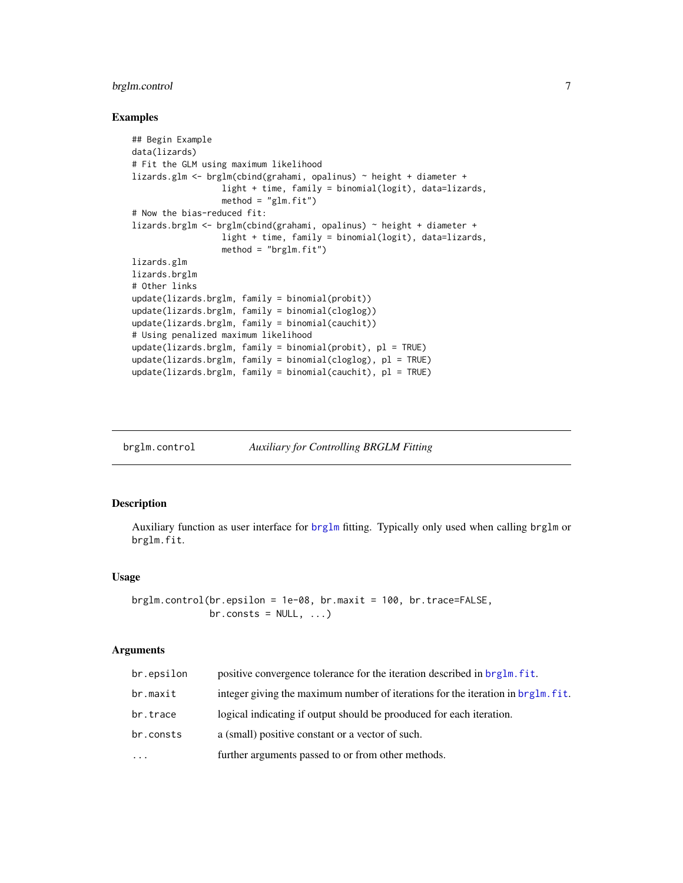# <span id="page-6-0"></span>brglm.control 7

#### Examples

```
## Begin Example
data(lizards)
# Fit the GLM using maximum likelihood
lizards.glm <- brglm(cbind(grahami, opalinus) ~ height + diameter +
                  light + time, family = binomial(logit), data=lizards,
                  method = "glm.fit")# Now the bias-reduced fit:
lizards.brglm <- brglm(cbind(grahami, opalinus) ~ height + diameter +
                 light + time, family = binomial(logit), data=lizards,
                  method = "brglm.fit")lizards.glm
lizards.brglm
# Other links
update(lizards.brglm, family = binomial(probit))
update(lizards.brglm, family = binomial(cloglog))
update(lizards.brglm, family = binomial(cauchit))
# Using penalized maximum likelihood
update(lizards.brglm, family = binomial(probit), pl = TRUE)
update(lizards.brglm, family = binomial(cloglog), pl = TRUE)
update(lizards.brglm, family = binomial(cauchit), pl = TRUE)
```
<span id="page-6-1"></span>brglm.control *Auxiliary for Controlling BRGLM Fitting*

# Description

Auxiliary function as user interface for [brglm](#page-1-1) fitting. Typically only used when calling brglm or brglm.fit.

#### Usage

```
brglm.control(br.epsilon = 1e-08, br.maxit = 100, br.trace=FALSE,
             br.consts = NULL, ...
```
#### Arguments

| br.epsilon | positive convergence tolerance for the iteration described in brglm. fit.        |
|------------|----------------------------------------------------------------------------------|
| br.maxit   | integer giving the maximum number of iterations for the iteration in brg1m, fit. |
| br.trace   | logical indicating if output should be prooduced for each iteration.             |
| br.consts  | a (small) positive constant or a vector of such.                                 |
|            | further arguments passed to or from other methods.                               |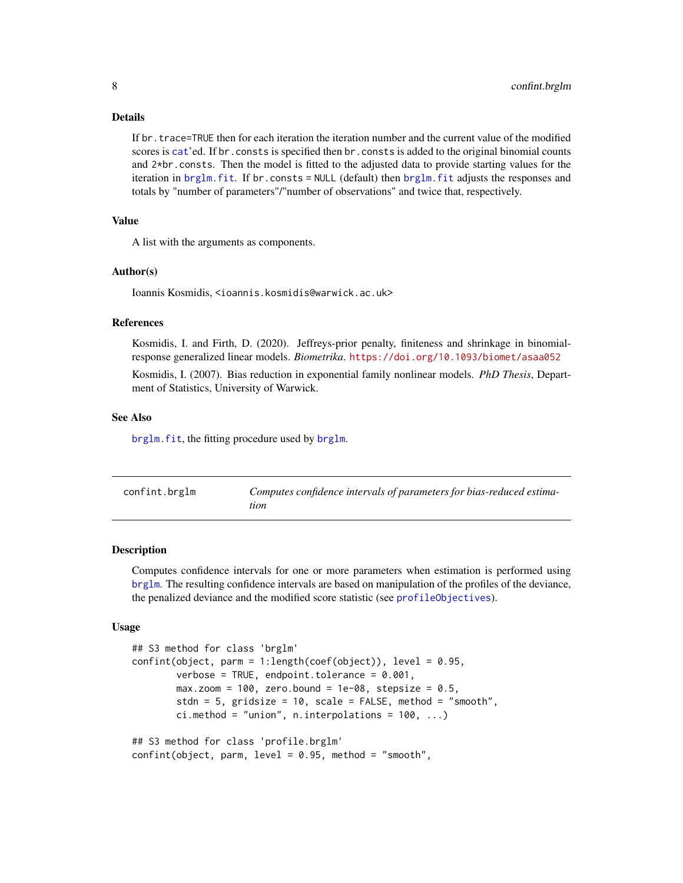#### Details

If br.trace=TRUE then for each iteration the iteration number and the current value of the modified scores is [cat](#page-0-0)'ed. If br.consts is specified then br.consts is added to the original binomial counts and 2\*br.consts. Then the model is fitted to the adjusted data to provide starting values for the iteration in [brglm.fit](#page-1-2). If br.consts = NULL (default) then [brglm.fit](#page-1-2) adjusts the responses and totals by "number of parameters"/"number of observations" and twice that, respectively.

# Value

A list with the arguments as components.

#### Author(s)

Ioannis Kosmidis, <ioannis.kosmidis@warwick.ac.uk>

# References

Kosmidis, I. and Firth, D. (2020). Jeffreys-prior penalty, finiteness and shrinkage in binomialresponse generalized linear models. *Biometrika*. <https://doi.org/10.1093/biomet/asaa052>

Kosmidis, I. (2007). Bias reduction in exponential family nonlinear models. *PhD Thesis*, Department of Statistics, University of Warwick.

#### See Also

[brglm.fit](#page-1-2), the fitting procedure used by [brglm](#page-1-1).

<span id="page-7-1"></span>

| confint.brglm | Computes confidence intervals of parameters for bias-reduced estima-<br>tion |
|---------------|------------------------------------------------------------------------------|
|               |                                                                              |

#### Description

Computes confidence intervals for one or more parameters when estimation is performed using [brglm](#page-1-1). The resulting confidence intervals are based on manipulation of the profiles of the deviance, the penalized deviance and the modified score statistic (see [profileObjectives](#page-20-1)).

#### Usage

```
## S3 method for class 'brglm'
confint(object, parm = 1: length(coef(object)), level = 0.95,verbose = TRUE, endpoint.tolerance = 0.001,
       max.zoom = 100, zero.bound = 1e-08, stepsize = 0.5,
        stdn = 5, gridsize = 10, scale = FALSE, method = "smooth",
        ci.method = "union", n.interpolations = 100, ...)
## S3 method for class 'profile.brglm'
confint(object, parm, level = 0.95, method = "smooth",
```
<span id="page-7-0"></span>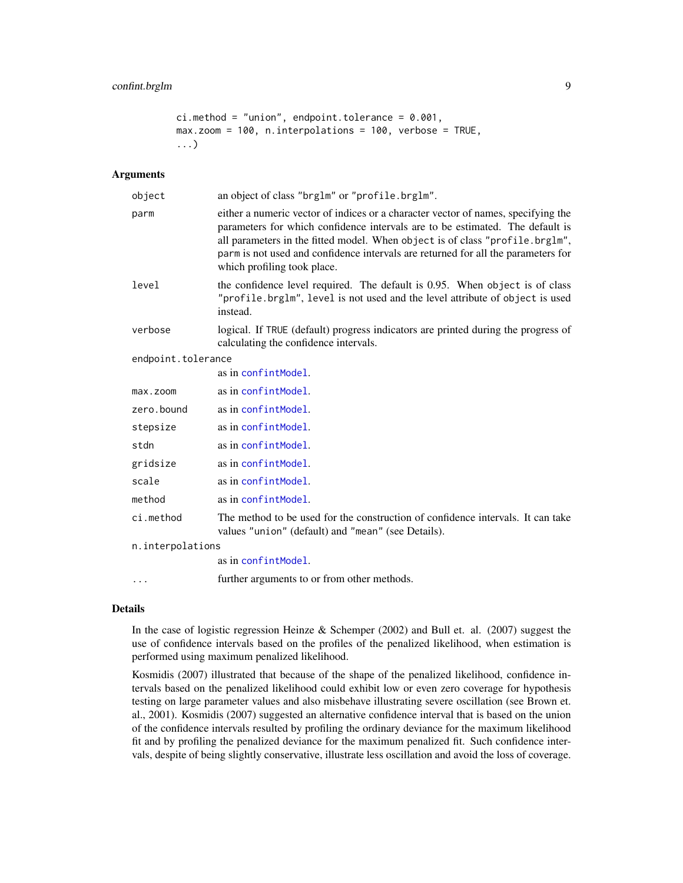```
ci. method = "union", endpoint.tolerance = 0.001,
max.zoom = 100, n.interpolations = 100, verbose = TRUE,
...)
```
#### Arguments

| object             | an object of class "brglm" or "profile.brglm".                                                                                                                                                                                                                                                                                                                         |
|--------------------|------------------------------------------------------------------------------------------------------------------------------------------------------------------------------------------------------------------------------------------------------------------------------------------------------------------------------------------------------------------------|
| parm               | either a numeric vector of indices or a character vector of names, specifying the<br>parameters for which confidence intervals are to be estimated. The default is<br>all parameters in the fitted model. When object is of class "profile.brglm",<br>parm is not used and confidence intervals are returned for all the parameters for<br>which profiling took place. |
| level              | the confidence level required. The default is 0.95. When object is of class<br>"profile.brglm", level is not used and the level attribute of object is used<br>instead.                                                                                                                                                                                                |
| verbose            | logical. If TRUE (default) progress indicators are printed during the progress of<br>calculating the confidence intervals.                                                                                                                                                                                                                                             |
| endpoint.tolerance |                                                                                                                                                                                                                                                                                                                                                                        |
|                    | as in confintModel.                                                                                                                                                                                                                                                                                                                                                    |
| max.zoom           | as in confintModel.                                                                                                                                                                                                                                                                                                                                                    |
| zero.bound         | as in confintModel.                                                                                                                                                                                                                                                                                                                                                    |
| stepsize           | as in confintModel.                                                                                                                                                                                                                                                                                                                                                    |
| stdn               | as in confintModel.                                                                                                                                                                                                                                                                                                                                                    |
| gridsize           | as in confintModel.                                                                                                                                                                                                                                                                                                                                                    |
| scale              | as in confintModel.                                                                                                                                                                                                                                                                                                                                                    |
| method             | as in confintModel.                                                                                                                                                                                                                                                                                                                                                    |
| ci.method          | The method to be used for the construction of confidence intervals. It can take<br>values "union" (default) and "mean" (see Details).                                                                                                                                                                                                                                  |
| n.interpolations   |                                                                                                                                                                                                                                                                                                                                                                        |
|                    | as in confintModel.                                                                                                                                                                                                                                                                                                                                                    |

... further arguments to or from other methods.

#### Details

In the case of logistic regression Heinze & Schemper (2002) and Bull et. al. (2007) suggest the use of confidence intervals based on the profiles of the penalized likelihood, when estimation is performed using maximum penalized likelihood.

Kosmidis (2007) illustrated that because of the shape of the penalized likelihood, confidence intervals based on the penalized likelihood could exhibit low or even zero coverage for hypothesis testing on large parameter values and also misbehave illustrating severe oscillation (see Brown et. al., 2001). Kosmidis (2007) suggested an alternative confidence interval that is based on the union of the confidence intervals resulted by profiling the ordinary deviance for the maximum likelihood fit and by profiling the penalized deviance for the maximum penalized fit. Such confidence intervals, despite of being slightly conservative, illustrate less oscillation and avoid the loss of coverage.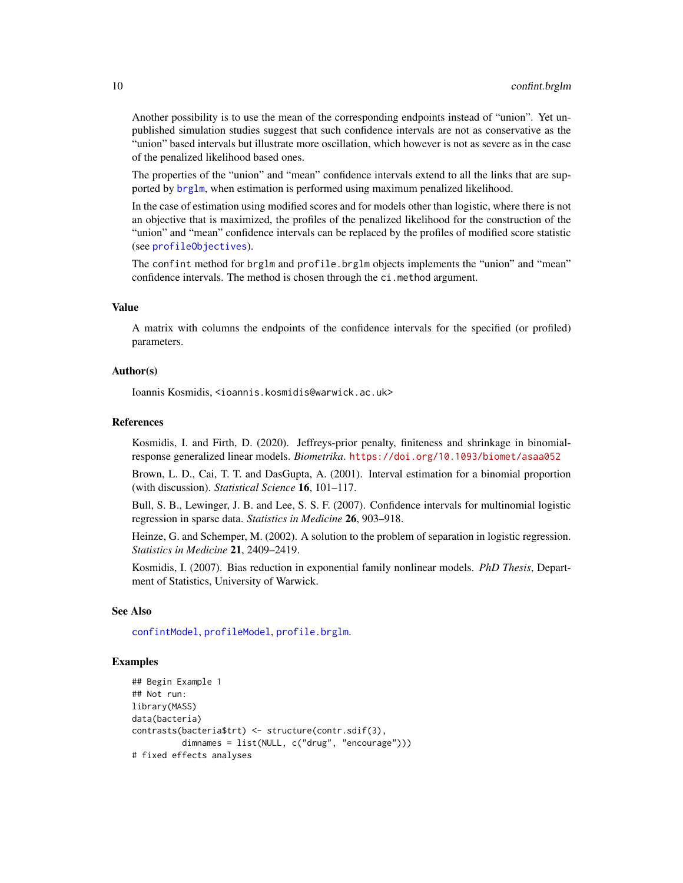Another possibility is to use the mean of the corresponding endpoints instead of "union". Yet unpublished simulation studies suggest that such confidence intervals are not as conservative as the "union" based intervals but illustrate more oscillation, which however is not as severe as in the case of the penalized likelihood based ones.

The properties of the "union" and "mean" confidence intervals extend to all the links that are supported by [brglm](#page-1-1), when estimation is performed using maximum penalized likelihood.

In the case of estimation using modified scores and for models other than logistic, where there is not an objective that is maximized, the profiles of the penalized likelihood for the construction of the "union" and "mean" confidence intervals can be replaced by the profiles of modified score statistic (see [profileObjectives](#page-20-1)).

The confint method for brglm and profile.brglm objects implements the "union" and "mean" confidence intervals. The method is chosen through the ci.method argument.

# Value

A matrix with columns the endpoints of the confidence intervals for the specified (or profiled) parameters.

#### Author(s)

Ioannis Kosmidis, <ioannis.kosmidis@warwick.ac.uk>

# References

Kosmidis, I. and Firth, D. (2020). Jeffreys-prior penalty, finiteness and shrinkage in binomialresponse generalized linear models. *Biometrika*. <https://doi.org/10.1093/biomet/asaa052>

Brown, L. D., Cai, T. T. and DasGupta, A. (2001). Interval estimation for a binomial proportion (with discussion). *Statistical Science* 16, 101–117.

Bull, S. B., Lewinger, J. B. and Lee, S. S. F. (2007). Confidence intervals for multinomial logistic regression in sparse data. *Statistics in Medicine* 26, 903–918.

Heinze, G. and Schemper, M. (2002). A solution to the problem of separation in logistic regression. *Statistics in Medicine* 21, 2409–2419.

Kosmidis, I. (2007). Bias reduction in exponential family nonlinear models. *PhD Thesis*, Department of Statistics, University of Warwick.

#### See Also

[confintModel](#page-0-0), [profileModel](#page-0-0), [profile.brglm](#page-18-1).

### Examples

```
## Begin Example 1
## Not run:
library(MASS)
data(bacteria)
contrasts(bacteria$trt) <- structure(contr.sdif(3),
          dimnames = list(NULL, c("drug", "encourage")))
# fixed effects analyses
```
<span id="page-9-0"></span>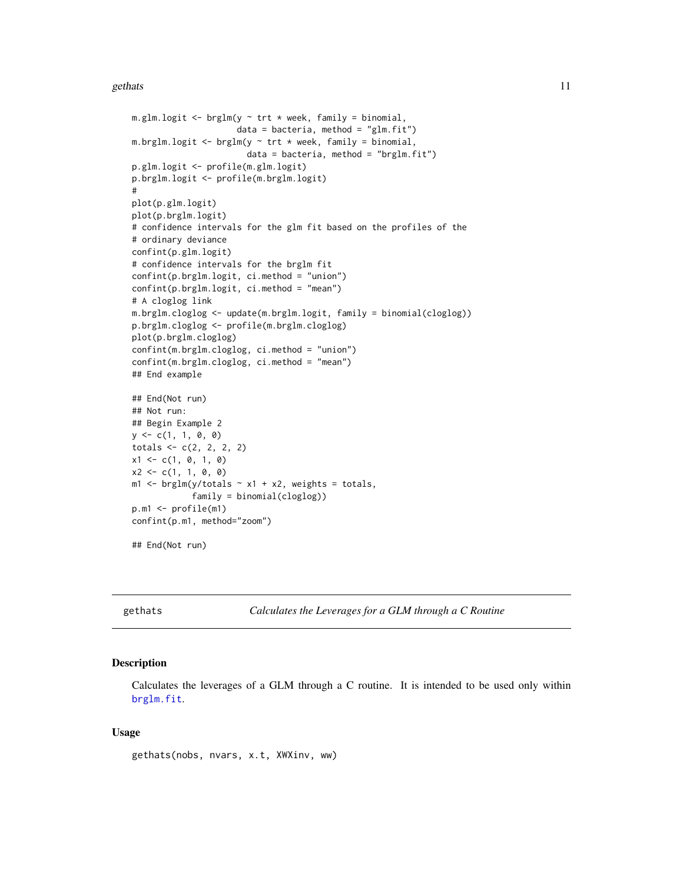#### <span id="page-10-0"></span>gethats and the set of the set of the set of the set of the set of the set of the set of the set of the set of the set of the set of the set of the set of the set of the set of the set of the set of the set of the set of t

```
m.glm.logit \leq brglm(y \sim trt \star week, family = binomial,
                     data = bacteria, method = "glm.fit")m.brglm.logit <- brglm(y \sim trt * week, family = binomial,
                       data = bacteria, method = "brglm.fit")p.glm.logit <- profile(m.glm.logit)
p.brglm.logit <- profile(m.brglm.logit)
#
plot(p.glm.logit)
plot(p.brglm.logit)
# confidence intervals for the glm fit based on the profiles of the
# ordinary deviance
confint(p.glm.logit)
# confidence intervals for the brglm fit
confint(p.brglm.logit, ci.method = "union")
confint(p.brglm.logit, ci.method = "mean")
# A cloglog link
m.brglm.cloglog <- update(m.brglm.logit, family = binomial(cloglog))
p.brglm.cloglog <- profile(m.brglm.cloglog)
plot(p.brglm.cloglog)
confint(m.brglm.cloglog, ci.method = "union")
confint(m.brglm.cloglog, ci.method = "mean")
## End example
## End(Not run)
## Not run:
## Begin Example 2
y \leq -c(1, 1, 0, 0)totals <- c(2, 2, 2, 2)
x1 \leftarrow c(1, 0, 1, 0)x2 \leq -c(1, 1, 0, 0)m1 <- brglm(y/totals \sim x1 + x2, weights = totals,
            family = binomial(cloglog))
p.m1 <- profile(m1)
confint(p.m1, method="zoom")
## End(Not run)
```
<span id="page-10-1"></span>gethats *Calculates the Leverages for a GLM through a C Routine*

# Description

Calculates the leverages of a GLM through a C routine. It is intended to be used only within [brglm.fit](#page-1-2).

### Usage

gethats(nobs, nvars, x.t, XWXinv, ww)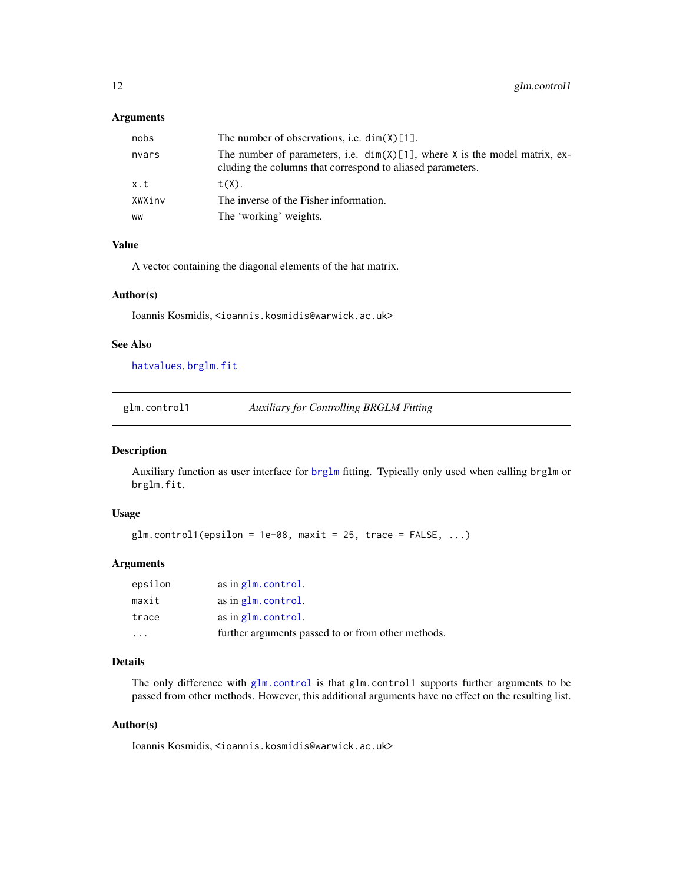#### <span id="page-11-0"></span>Arguments

| nobs   | The number of observations, i.e. $dim(X)[1]$ .                                                                                              |
|--------|---------------------------------------------------------------------------------------------------------------------------------------------|
| nvars  | The number of parameters, i.e. $dim(X)[1]$ , where X is the model matrix, ex-<br>cluding the columns that correspond to aliased parameters. |
| x.t    | $t(X)$ .                                                                                                                                    |
| XWXinv | The inverse of the Fisher information.                                                                                                      |
| ww     | The 'working' weights.                                                                                                                      |

# Value

A vector containing the diagonal elements of the hat matrix.

#### Author(s)

Ioannis Kosmidis, <ioannis.kosmidis@warwick.ac.uk>

# See Also

[hatvalues](#page-0-0), [brglm.fit](#page-1-2)

glm.control1 *Auxiliary for Controlling BRGLM Fitting*

#### Description

Auxiliary function as user interface for [brglm](#page-1-1) fitting. Typically only used when calling brglm or brglm.fit.

#### Usage

```
glm.controll(epsilon = 1e-08, maxit = 25, trace = FALSE, ...)
```
# Arguments

| epsilon | as in glm.control.                                 |
|---------|----------------------------------------------------|
| maxit   | as in glm.control.                                 |
| trace   | as in glm.control.                                 |
|         | further arguments passed to or from other methods. |

#### Details

The only difference with [glm.control](#page-0-0) is that glm.control1 supports further arguments to be passed from other methods. However, this additional arguments have no effect on the resulting list.

# Author(s)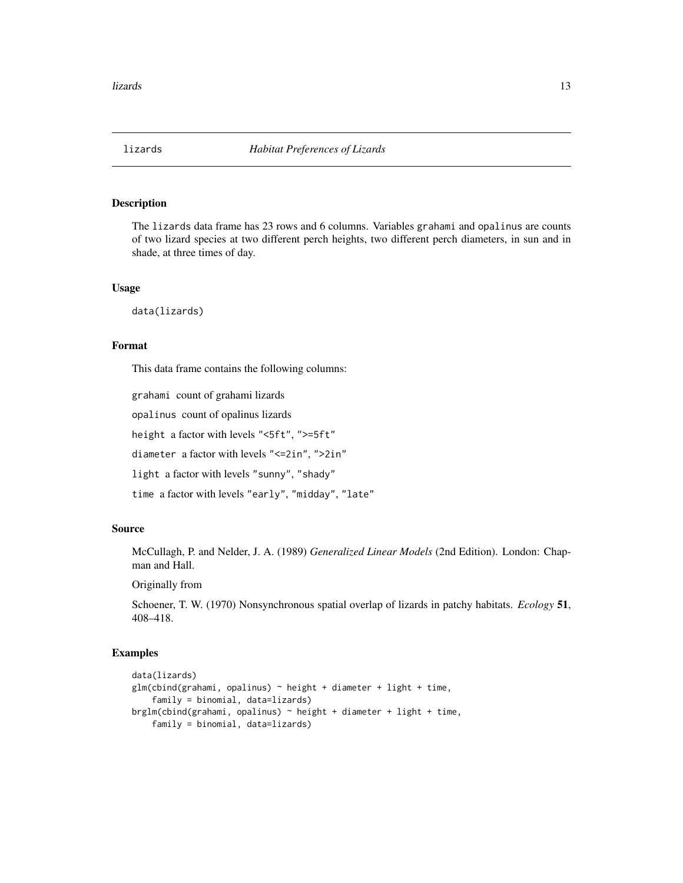<span id="page-12-0"></span>

# Description

The lizards data frame has 23 rows and 6 columns. Variables grahami and opalinus are counts of two lizard species at two different perch heights, two different perch diameters, in sun and in shade, at three times of day.

#### Usage

data(lizards)

# Format

This data frame contains the following columns:

grahami count of grahami lizards

opalinus count of opalinus lizards

height a factor with levels "<5ft", ">=5ft"

diameter a factor with levels "<=2in", ">2in"

light a factor with levels "sunny", "shady"

time a factor with levels "early", "midday", "late"

#### Source

McCullagh, P. and Nelder, J. A. (1989) *Generalized Linear Models* (2nd Edition). London: Chapman and Hall.

Originally from

Schoener, T. W. (1970) Nonsynchronous spatial overlap of lizards in patchy habitats. *Ecology* 51, 408–418.

#### Examples

```
data(lizards)
glm(cbind(grahami, opalinus) ~ height + diameter + light + time,family = binomial, data=lizards)
brglm(cbind(grahami, opalinus) ~ height + diameter + light + time,
    family = binomial, data=lizards)
```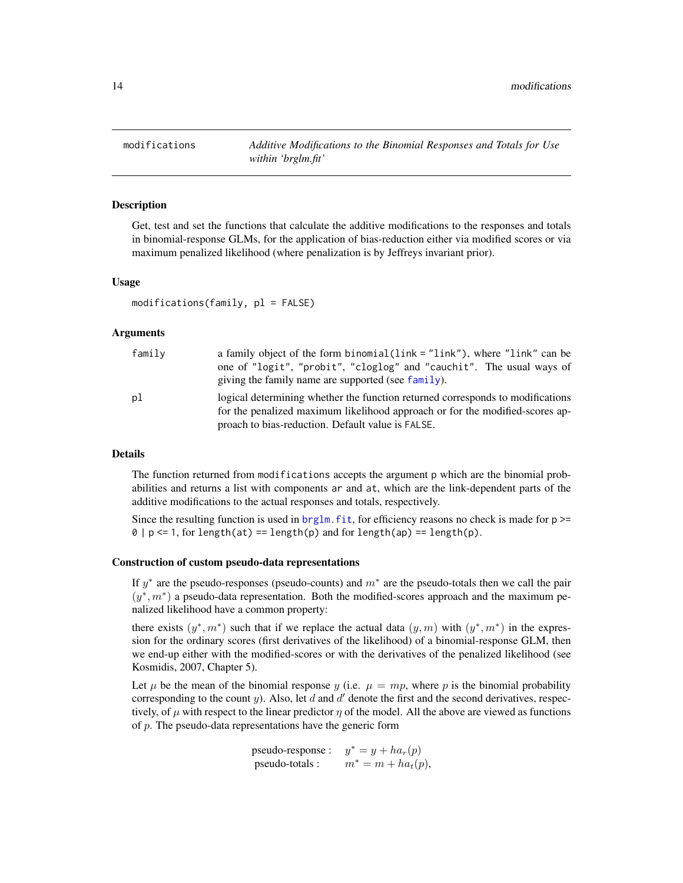<span id="page-13-1"></span><span id="page-13-0"></span>

#### <span id="page-13-2"></span>Description

Get, test and set the functions that calculate the additive modifications to the responses and totals in binomial-response GLMs, for the application of bias-reduction either via modified scores or via maximum penalized likelihood (where penalization is by Jeffreys invariant prior).

#### Usage

 $modifications(family, pl = FALSE)$ 

#### Arguments

| family | a family object of the form binomial $(\text{link} = \text{"link"})$ , where "link" can be<br>one of "logit", "probit", "cloglog" and "cauchit". The usual ways of<br>giving the family name are supported (see family). |
|--------|--------------------------------------------------------------------------------------------------------------------------------------------------------------------------------------------------------------------------|
| pl     | logical determining whether the function returned corresponds to modifications<br>for the penalized maximum likelihood approach or for the modified-scores ap-<br>proach to bias-reduction. Default value is FALSE.      |

# Details

The function returned from modifications accepts the argument p which are the binomial probabilities and returns a list with components ar and at, which are the link-dependent parts of the additive modifications to the actual responses and totals, respectively.

Since the resulting function is used in  $brglm$ . fit, for efficiency reasons no check is made for  $p \geq$  $0 | p \le 1$ , for length(at) == length(p) and for length(ap) == length(p).

#### Construction of custom pseudo-data representations

If  $y^*$  are the pseudo-responses (pseudo-counts) and  $m^*$  are the pseudo-totals then we call the pair  $(y^*, m^*)$  a pseudo-data representation. Both the modified-scores approach and the maximum penalized likelihood have a common property:

there exists  $(y^*, m^*)$  such that if we replace the actual data  $(y, m)$  with  $(y^*, m^*)$  in the expression for the ordinary scores (first derivatives of the likelihood) of a binomial-response GLM, then we end-up either with the modified-scores or with the derivatives of the penalized likelihood (see Kosmidis, 2007, Chapter 5).

Let  $\mu$  be the mean of the binomial response y (i.e.  $\mu = mp$ , where p is the binomial probability corresponding to the count  $y$ ). Also, let  $d$  and  $d'$  denote the first and the second derivatives, respectively, of  $\mu$  with respect to the linear predictor  $\eta$  of the model. All the above are viewed as functions of  $p$ . The pseudo-data representations have the generic form

> pseudo-response :  $y^* = y + ha_r(p)$ pseudo-totals :  $m^* = m + ha_t(p)$ ,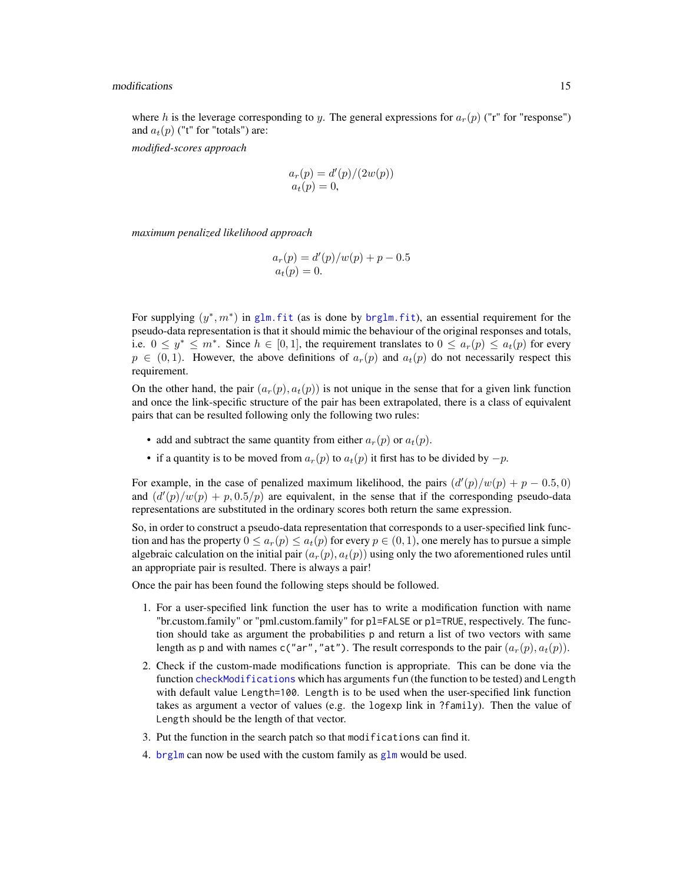#### <span id="page-14-0"></span>modifications and  $\frac{15}{2}$  15

where h is the leverage corresponding to y. The general expressions for  $a_r(p)$  ("r" for "response") and  $a_t(p)$  ("t" for "totals") are:

*modified-scores approach*

$$
a_r(p) = d'(p)/(2w(p))
$$
  

$$
a_t(p) = 0,
$$

*maximum penalized likelihood approach*

$$
a_r(p) = d'(p)/w(p) + p - 0.5
$$
  

$$
a_t(p) = 0.
$$

For supplying  $(y^*, m^*)$  in glm. fit (as is done by brglm. fit), an essential requirement for the pseudo-data representation is that it should mimic the behaviour of the original responses and totals, i.e.  $0 \leq y^* \leq m^*$ . Since  $h \in [0,1]$ , the requirement translates to  $0 \leq a_r(p) \leq a_t(p)$  for every  $p \in (0, 1)$ . However, the above definitions of  $a_r(p)$  and  $a_t(p)$  do not necessarily respect this requirement.

On the other hand, the pair  $(a_r(p), a_t(p))$  is not unique in the sense that for a given link function and once the link-specific structure of the pair has been extrapolated, there is a class of equivalent pairs that can be resulted following only the following two rules:

- add and subtract the same quantity from either  $a_r(p)$  or  $a_t(p)$ .
- if a quantity is to be moved from  $a_r(p)$  to  $a_t(p)$  it first has to be divided by  $-p$ .

For example, in the case of penalized maximum likelihood, the pairs  $(d'(p)/w(p) + p - 0.5, 0)$ and  $\left(\frac{d'(p)}{w(p)} + p, 0.5/p\right)$  are equivalent, in the sense that if the corresponding pseudo-data representations are substituted in the ordinary scores both return the same expression.

So, in order to construct a pseudo-data representation that corresponds to a user-specified link function and has the property  $0 \le a_r(p) \le a_t(p)$  for every  $p \in (0, 1)$ , one merely has to pursue a simple algebraic calculation on the initial pair  $(a_r(p), a_t(p))$  using only the two aforementioned rules until an appropriate pair is resulted. There is always a pair!

Once the pair has been found the following steps should be followed.

- 1. For a user-specified link function the user has to write a modification function with name "br.custom.family" or "pml.custom.family" for pl=FALSE or pl=TRUE, respectively. The function should take as argument the probabilities p and return a list of two vectors with same length as p and with names c("ar","at"). The result corresponds to the pair  $(a_r(p), a_t(p))$ .
- 2. Check if the custom-made modifications function is appropriate. This can be done via the function [checkModifications](#page-13-2) which has arguments fun (the function to be tested) and Length with default value Length=100. Length is to be used when the user-specified link function takes as argument a vector of values (e.g. the logexp link in  $?$ family). Then the value of Length should be the length of that vector.
- 3. Put the function in the search patch so that modifications can find it.
- 4. [brglm](#page-1-1) can now be used with the custom family as [glm](#page-0-0) would be used.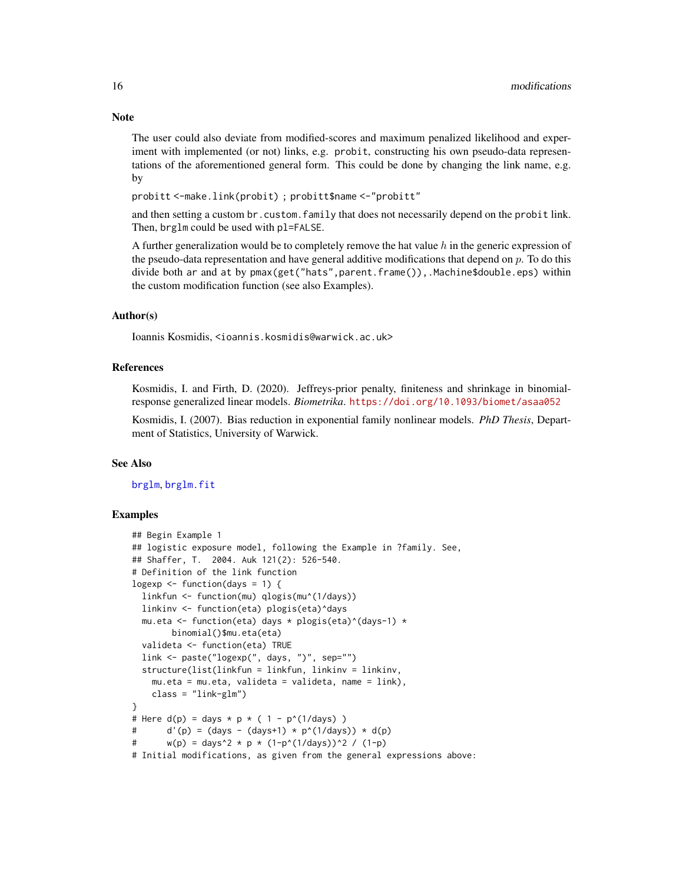The user could also deviate from modified-scores and maximum penalized likelihood and experiment with implemented (or not) links, e.g. probit, constructing his own pseudo-data representations of the aforementioned general form. This could be done by changing the link name, e.g. by

probitt <-make.link(probit) ; probitt\$name <-"probitt"

and then setting a custom br.custom.family that does not necessarily depend on the probit link. Then, brglm could be used with pl=FALSE.

A further generalization would be to completely remove the hat value  $h$  in the generic expression of the pseudo-data representation and have general additive modifications that depend on  $p$ . To do this divide both ar and at by pmax(get("hats",parent.frame()),.Machine\$double.eps) within the custom modification function (see also Examples).

# Author(s)

Ioannis Kosmidis, <ioannis.kosmidis@warwick.ac.uk>

#### References

Kosmidis, I. and Firth, D. (2020). Jeffreys-prior penalty, finiteness and shrinkage in binomialresponse generalized linear models. *Biometrika*. <https://doi.org/10.1093/biomet/asaa052>

Kosmidis, I. (2007). Bias reduction in exponential family nonlinear models. *PhD Thesis*, Department of Statistics, University of Warwick.

#### See Also

[brglm](#page-1-1), [brglm.fit](#page-1-2)

#### Examples

```
## Begin Example 1
## logistic exposure model, following the Example in ?family. See,
## Shaffer, T. 2004. Auk 121(2): 526-540.
# Definition of the link function
logexp \leq function(days = 1) {
 linkfun <- function(mu) qlogis(mu^(1/days))
 linkinv <- function(eta) plogis(eta)^days
 mu.eta <- function(eta) days * plogis(eta)^(days-1) *
        binomial()$mu.eta(eta)
 valideta <- function(eta) TRUE
 link <- paste("logexp(", days, ")", sep="")
 structure(list(linkfun = linkfun, linkinv = linkinv,
   mu.eta = mu.eta, valideta = valideta, name = link),
   class = "link-glm")
}
# Here d(p) = days * p * (1 - p^{(1/days)})# d'(p) = (days - (days + 1) * p'(1/day)) * d(p)# w(p) = \text{days}^2 \times p \times (1-p^2(1/\text{days}))^2 / (1-p)
# Initial modifications, as given from the general expressions above:
```
<span id="page-15-0"></span>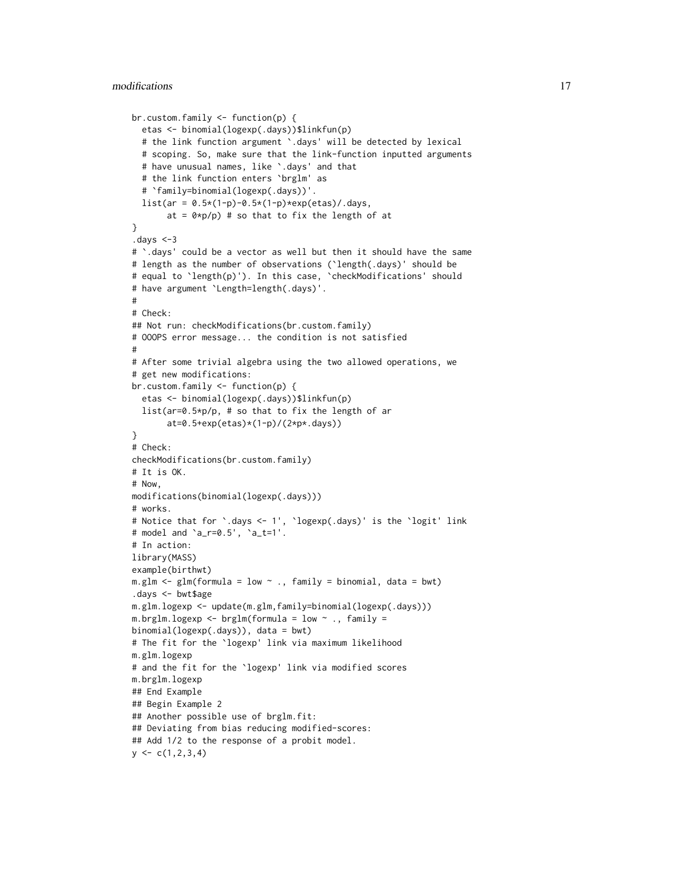```
br.custom.family <- function(p) {
  etas <- binomial(logexp(.days))$linkfun(p)
  # the link function argument `.days' will be detected by lexical
  # scoping. So, make sure that the link-function inputted arguments
  # have unusual names, like `.days' and that
  # the link function enters `brglm' as
  # `family=binomial(logexp(.days))'.
  list(ar = 0.5*(1-p)-0.5*(1-p)*exp(etas)/days,at = 0 \times p/p) # so that to fix the length of at
}
.days <-3
# `.days' could be a vector as well but then it should have the same
# length as the number of observations (`length(.days)' should be
# equal to `length(p)'). In this case, `checkModifications' should
# have argument `Length=length(.days)'.
#
# Check:
## Not run: checkModifications(br.custom.family)
# OOOPS error message... the condition is not satisfied
#
# After some trivial algebra using the two allowed operations, we
# get new modifications:
br.custom.family <- function(p) {
  etas <- binomial(logexp(.days))$linkfun(p)
  list(ar=0.5*p/p, # so that to fix the length of ar
       at=0.5+exp(etas)*(1-p)/(2*p*.days))
}
# Check:
checkModifications(br.custom.family)
# It is OK.
# Now,
modifications(binomial(logexp(.days)))
# works.
# Notice that for `.days <- 1', `logexp(.days)' is the `logit' link
# model and `a_r=0.5', `a_t=1'.
# In action:
library(MASS)
example(birthwt)
m.glm <- glm(formula = low ~ ., family = binomial, data = bwt)
.days <- bwt$age
m.glm.logexp <- update(m.glm,family=binomial(logexp(.days)))
m.brglm.logexp <- brglm(formula = low \sim ., family =
binomial(logexp(.days)), data = bwt)
# The fit for the `logexp' link via maximum likelihood
m.glm.logexp
# and the fit for the `logexp' link via modified scores
m.brglm.logexp
## End Example
## Begin Example 2
## Another possible use of brglm.fit:
## Deviating from bias reducing modified-scores:
## Add 1/2 to the response of a probit model.
y \leftarrow c(1, 2, 3, 4)
```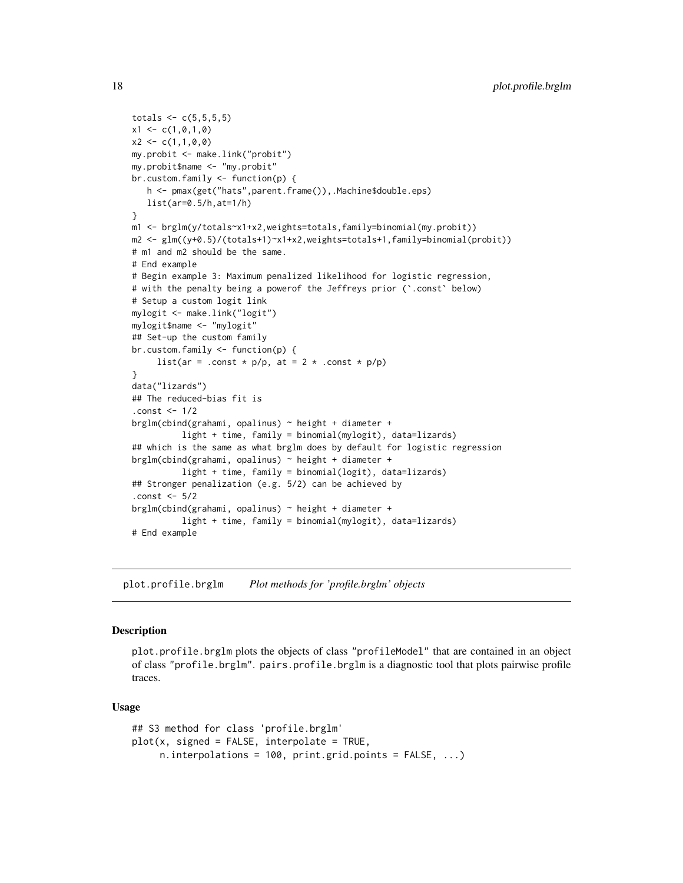```
\text{totals} < -c(5, 5, 5, 5)x1 \leftarrow c(1, 0, 1, 0)x2 \leq -c(1,1,0,0)my.probit <- make.link("probit")
my.probit$name <- "my.probit"
br.custom.family <- function(p) {
   h <- pmax(get("hats",parent.frame()),.Machine$double.eps)
   list(ar=0.5/h,at=1/h)
}
m1 <- brglm(y/totals~x1+x2,weights=totals,family=binomial(my.probit))
m2 <- glm((y+0.5)/(totals+1)~x1+x2,weights=totals+1,family=binomial(probit))
# m1 and m2 should be the same.
# End example
# Begin example 3: Maximum penalized likelihood for logistic regression,
# with the penalty being a powerof the Jeffreys prior (`.const` below)
# Setup a custom logit link
mylogit <- make.link("logit")
mylogit$name <- "mylogit"
## Set-up the custom family
br.custom.family <- function(p) {
     list(ar = .const * p/p, at = 2 * .const * p/p)
}
data("lizards")
## The reduced-bias fit is
.const <- 1/2
brglm(cbind(grahami, opalinus) ~ height + diameter +
          light + time, family = binomial(mylogit), data=lizards)
## which is the same as what brglm does by default for logistic regression
brglm(cbind(grahami, opalinus) ~ height + diameter +
          light + time, family = binomial(logit), data=lizards)
## Stronger penalization (e.g. 5/2) can be achieved by
.const <- 5/2
brglm(cbind(grahami, opalinus) ~ height + diameter +light + time, family = binomial(mylogit), data=lizards)
# End example
```
<span id="page-17-1"></span>plot.profile.brglm *Plot methods for 'profile.brglm' objects*

#### **Description**

plot.profile.brglm plots the objects of class "profileModel" that are contained in an object of class "profile.brglm". pairs.profile.brglm is a diagnostic tool that plots pairwise profile traces.

#### Usage

```
## S3 method for class 'profile.brglm'
plot(x, signed = FALSE, interpolate = TRUE,n.interpolations = 100, print.grid.points = FALSE, ...)
```
<span id="page-17-0"></span>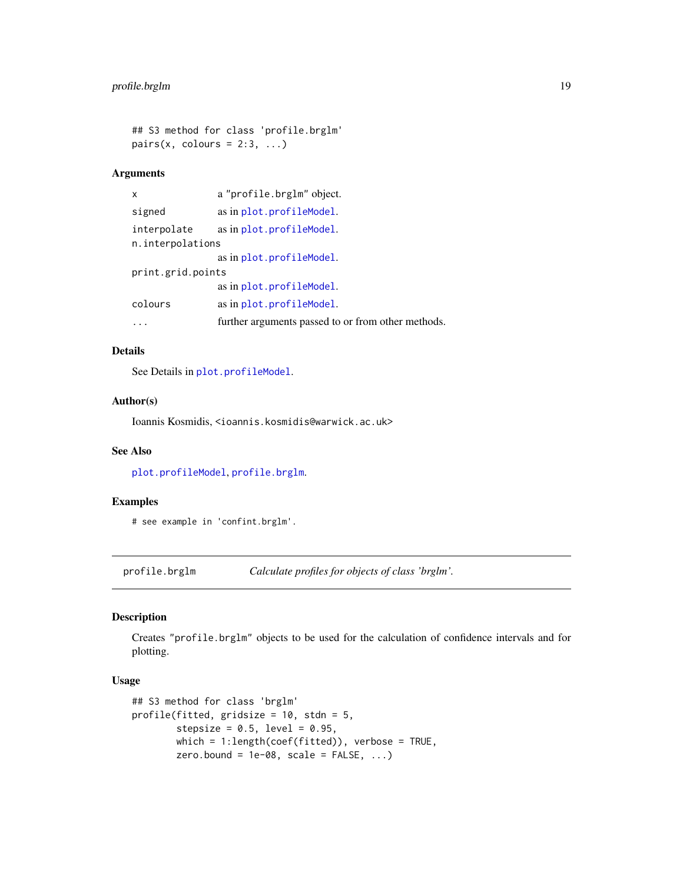```
## S3 method for class 'profile.brglm'
pairs(x, colours = 2:3, ...)
```
# Arguments

| X                 | a "profile.brglm" object.                          |
|-------------------|----------------------------------------------------|
| signed            | as in plot.profileModel.                           |
| interpolate       | as in plot.profileModel.                           |
| n.interpolations  |                                                    |
|                   | as in plot.profileModel.                           |
| print.grid.points |                                                    |
|                   | as in plot.profileModel.                           |
| colours           | as in plot.profileModel.                           |
|                   | further arguments passed to or from other methods. |

# Details

See Details in [plot.profileModel](#page-0-0).

# Author(s)

Ioannis Kosmidis, <ioannis.kosmidis@warwick.ac.uk>

# See Also

[plot.profileModel](#page-0-0), [profile.brglm](#page-18-1).

# Examples

# see example in 'confint.brglm'.

<span id="page-18-1"></span>profile.brglm *Calculate profiles for objects of class 'brglm'.*

# Description

Creates "profile.brglm" objects to be used for the calculation of confidence intervals and for plotting.

# Usage

```
## S3 method for class 'brglm'
profile(fitted, gridsize = 10, stdn = 5,
        stepsize = 0.5, level = 0.95,
        which = 1:length(coef(fitted)), verbose = TRUE,
        zero.bound = 1e-08, scale = FALSE, ...)
```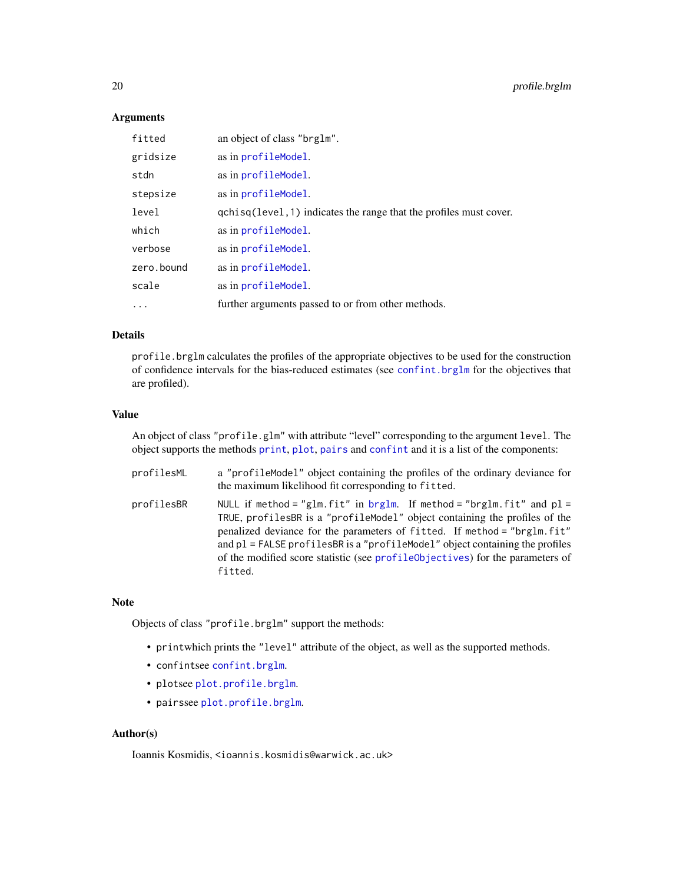# Arguments

| fitted     | an object of class "brglm".                                        |
|------------|--------------------------------------------------------------------|
| gridsize   | as in profileModel.                                                |
| stdn       | as in profileModel.                                                |
| stepsize   | as in profileModel.                                                |
| level      | qchisq(level, 1) indicates the range that the profiles must cover. |
| which      | as in profileModel.                                                |
| verbose    | as in profileModel.                                                |
| zero.bound | as in profileModel.                                                |
| scale      | as in profileModel.                                                |
| $\cdots$   | further arguments passed to or from other methods.                 |

# Details

profile.brglm calculates the profiles of the appropriate objectives to be used for the construction of confidence intervals for the bias-reduced estimates (see [confint.brglm](#page-7-1) for the objectives that are profiled).

#### Value

An object of class "profile.glm" with attribute "level" corresponding to the argument level. The object supports the methods [print](#page-0-0), [plot](#page-0-0), [pairs](#page-0-0) and [confint](#page-0-0) and it is a list of the components:

| profilesML | a "profileModel" object containing the profiles of the ordinary deviance for<br>the maximum likelihood fit corresponding to fitted.                                                                                                                                                                                                                                                                                  |
|------------|----------------------------------------------------------------------------------------------------------------------------------------------------------------------------------------------------------------------------------------------------------------------------------------------------------------------------------------------------------------------------------------------------------------------|
| profilesBR | NULL if method = "glm. fit" in brglm. If method = "brglm. fit" and $p1 =$<br>TRUE, profilesBR is a "profileModel" object containing the profiles of the<br>penalized deviance for the parameters of fitted. If method = "brglm.fit"<br>and $p1$ = FALSE profiles BR is a "profile Model" object containing the profiles<br>of the modified score statistic (see profile objectives) for the parameters of<br>fitted. |

#### Note

Objects of class "profile.brglm" support the methods:

- printwhich prints the "level" attribute of the object, as well as the supported methods.
- confintsee [confint.brglm](#page-7-1).
- plotsee [plot.profile.brglm](#page-17-1).
- pairssee [plot.profile.brglm](#page-17-1).

#### Author(s)

<span id="page-19-0"></span>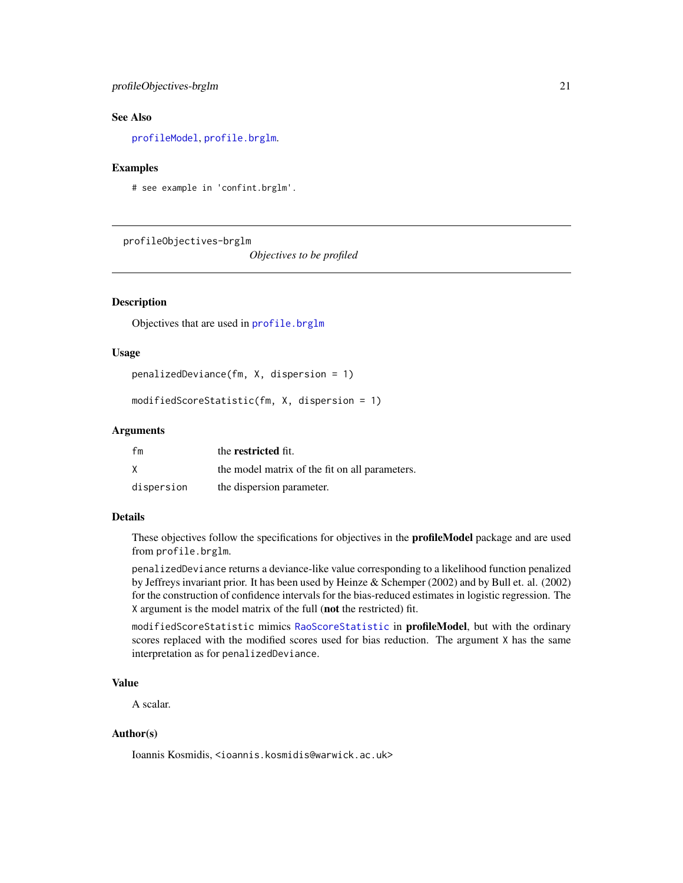# <span id="page-20-0"></span>profileObjectives-brglm 21

#### See Also

[profileModel](#page-0-0), [profile.brglm](#page-18-1).

#### Examples

# see example in 'confint.brglm'.

profileObjectives-brglm

*Objectives to be profiled*

#### <span id="page-20-1"></span>Description

Objectives that are used in [profile.brglm](#page-18-1)

#### Usage

penalizedDeviance(fm, X, dispersion = 1)

```
modifiedScoreStatistic(fm, X, dispersion = 1)
```
# Arguments

| fm         | the restricted fit.                            |
|------------|------------------------------------------------|
| X          | the model matrix of the fit on all parameters. |
| dispersion | the dispersion parameter.                      |

# Details

These objectives follow the specifications for objectives in the profileModel package and are used from profile.brglm.

penalizedDeviance returns a deviance-like value corresponding to a likelihood function penalized by Jeffreys invariant prior. It has been used by Heinze & Schemper (2002) and by Bull et. al. (2002) for the construction of confidence intervals for the bias-reduced estimates in logistic regression. The X argument is the model matrix of the full (not the restricted) fit.

modifiedScoreStatistic mimics [RaoScoreStatistic](#page-0-0) in profileModel, but with the ordinary scores replaced with the modified scores used for bias reduction. The argument X has the same interpretation as for penalizedDeviance.

#### Value

A scalar.

# Author(s)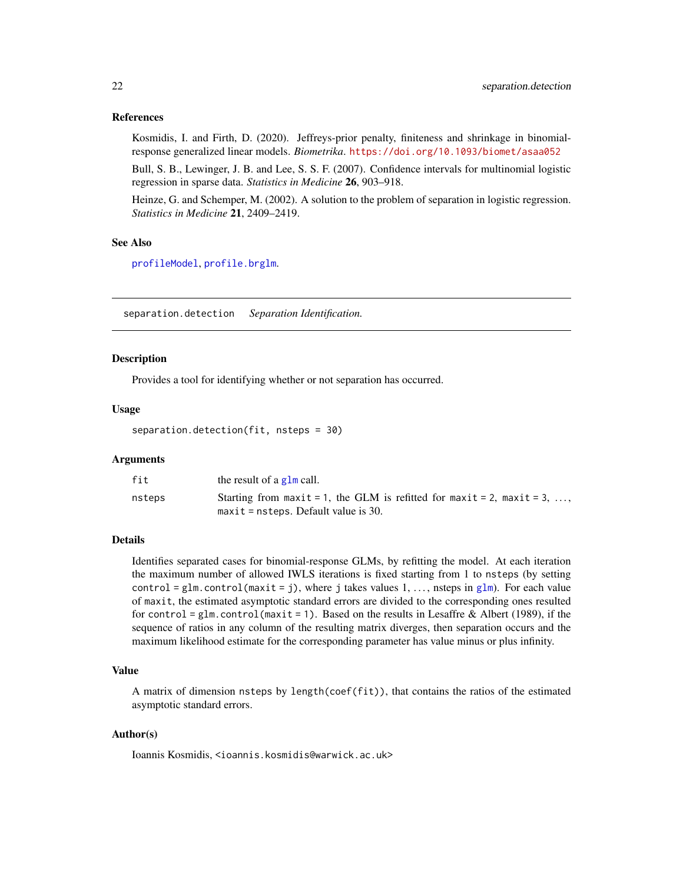#### <span id="page-21-0"></span>References

Kosmidis, I. and Firth, D. (2020). Jeffreys-prior penalty, finiteness and shrinkage in binomialresponse generalized linear models. *Biometrika*. <https://doi.org/10.1093/biomet/asaa052>

Bull, S. B., Lewinger, J. B. and Lee, S. S. F. (2007). Confidence intervals for multinomial logistic regression in sparse data. *Statistics in Medicine* 26, 903–918.

Heinze, G. and Schemper, M. (2002). A solution to the problem of separation in logistic regression. *Statistics in Medicine* 21, 2409–2419.

#### See Also

[profileModel](#page-0-0), [profile.brglm](#page-18-1).

separation.detection *Separation Identification.*

#### Description

Provides a tool for identifying whether or not separation has occurred.

#### Usage

separation.detection(fit, nsteps = 30)

# **Arguments**

| fit    | the result of a $g1m$ call.                                            |
|--------|------------------------------------------------------------------------|
| nsteps | Starting from maxit = 1, the GLM is refitted for maxit = 2, maxit = 3, |
|        | $maxit = nsteps$ . Default value is 30.                                |

# Details

Identifies separated cases for binomial-response GLMs, by refitting the model. At each iteration the maximum number of allowed IWLS iterations is fixed starting from 1 to nsteps (by setting control = [glm](#page-0-0).control (maxit = j), where j takes values 1, ..., nsteps in glm). For each value of maxit, the estimated asymptotic standard errors are divided to the corresponding ones resulted for control = glm.control (maxit = 1). Based on the results in Lesaffre & Albert (1989), if the sequence of ratios in any column of the resulting matrix diverges, then separation occurs and the maximum likelihood estimate for the corresponding parameter has value minus or plus infinity.

#### Value

A matrix of dimension nsteps by length(coef(fit)), that contains the ratios of the estimated asymptotic standard errors.

# Author(s)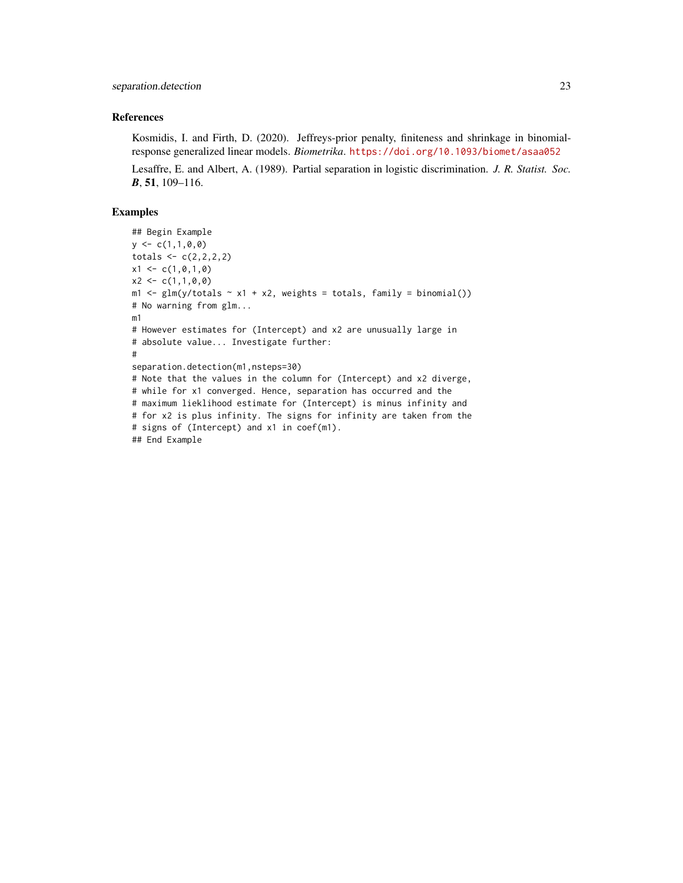# References

Kosmidis, I. and Firth, D. (2020). Jeffreys-prior penalty, finiteness and shrinkage in binomialresponse generalized linear models. *Biometrika*. <https://doi.org/10.1093/biomet/asaa052>

Lesaffre, E. and Albert, A. (1989). Partial separation in logistic discrimination. *J. R. Statist. Soc. B*, 51, 109–116.

## Examples

```
## Begin Example
y \leftarrow c(1,1,0,0)totals \leftarrow c(2,2,2,2)x1 \leftarrow c(1, 0, 1, 0)x2 \leq c(1,1,0,0)m1 \leftarrow glm(y/totals \sim x1 + x2, weights = totals, family = binomial())
# No warning from glm...
m1
# However estimates for (Intercept) and x2 are unusually large in
# absolute value... Investigate further:
#
separation.detection(m1,nsteps=30)
# Note that the values in the column for (Intercept) and x2 diverge,
# while for x1 converged. Hence, separation has occurred and the
# maximum lieklihood estimate for (Intercept) is minus infinity and
# for x2 is plus infinity. The signs for infinity are taken from the
# signs of (Intercept) and x1 in coef(m1).
## End Example
```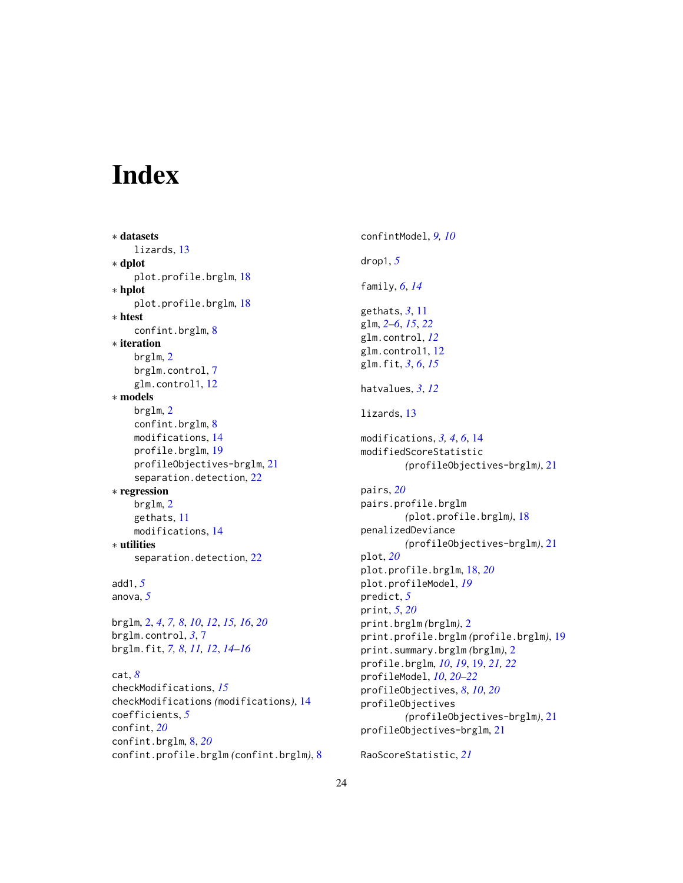# <span id="page-23-0"></span>Index

```
∗ datasets
    lizards, 13
∗ dplot
    plot.profile.brglm, 18
∗ hplot
    plot.profile.brglm, 18
∗ htest
    confint.brglm, 8
∗ iteration
   brglm, 2
   brglm.control, 7
    glm.control1, 12
∗ models
   brglm, 2
    confint.brglm, 8
    modifications, 14
    profile.brglm, 19
    profileObjectives-brglm, 21
    22
∗ regression
   brglm, 2
    gethats, 11
    modifications, 14
∗ utilities
    22
add1, 5
anova, 5
```
brglm, [2,](#page-1-0) *[4](#page-3-0)*, *[7,](#page-6-0) [8](#page-7-0)*, *[10](#page-9-0)*, *[12](#page-11-0)*, *[15,](#page-14-0) [16](#page-15-0)*, *[20](#page-19-0)* brglm.control, *[3](#page-2-0)*, [7](#page-6-0) brglm.fit, *[7,](#page-6-0) [8](#page-7-0)*, *[11,](#page-10-0) [12](#page-11-0)*, *[14–](#page-13-0)[16](#page-15-0)*

```
cat, 8
checkModifications, 15
checkModifications (modifications), 14
coefficients, 5
confint, 20
confint.brglm, 8, 20
confint.profile.brglm (confint.brglm), 8
```
confintModel, *[9,](#page-8-0) [10](#page-9-0)* drop1, *[5](#page-4-0)* family, *[6](#page-5-0)*, *[14](#page-13-0)* gethats, *[3](#page-2-0)*, [11](#page-10-0) glm, *[2–](#page-1-0)[6](#page-5-0)*, *[15](#page-14-0)*, *[22](#page-21-0)* glm.control, *[12](#page-11-0)* glm.control1, [12](#page-11-0) glm.fit, *[3](#page-2-0)*, *[6](#page-5-0)*, *[15](#page-14-0)* hatvalues, *[3](#page-2-0)*, *[12](#page-11-0)* lizards, [13](#page-12-0) modifications, *[3,](#page-2-0) [4](#page-3-0)*, *[6](#page-5-0)*, [14](#page-13-0) modifiedScoreStatistic *(*profileObjectives-brglm*)*, [21](#page-20-0) pairs, *[20](#page-19-0)* pairs.profile.brglm *(*plot.profile.brglm*)*, [18](#page-17-0) penalizedDeviance *(*profileObjectives-brglm*)*, [21](#page-20-0) plot, *[20](#page-19-0)* plot.profile.brglm, [18,](#page-17-0) *[20](#page-19-0)* plot.profileModel, *[19](#page-18-0)* predict, *[5](#page-4-0)* print, *[5](#page-4-0)*, *[20](#page-19-0)* print.brglm *(*brglm*)*, [2](#page-1-0) print.profile.brglm *(*profile.brglm*)*, [19](#page-18-0) print.summary.brglm *(*brglm*)*, [2](#page-1-0) profile.brglm, *[10](#page-9-0)*, *[19](#page-18-0)*, [19,](#page-18-0) *[21,](#page-20-0) [22](#page-21-0)* profileModel, *[10](#page-9-0)*, *[20](#page-19-0)[–22](#page-21-0)* profileObjectives, *[8](#page-7-0)*, *[10](#page-9-0)*, *[20](#page-19-0)* profileObjectives *(*profileObjectives-brglm*)*, [21](#page-20-0) profileObjectives-brglm, [21](#page-20-0)

RaoScoreStatistic, *[21](#page-20-0)*